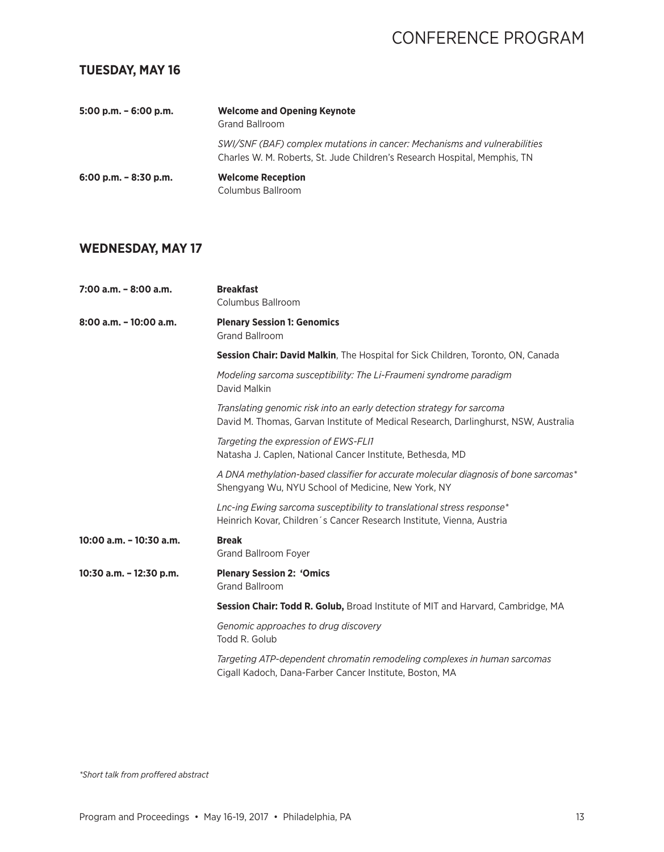### **TUESDAY, MAY 16**

| $5:00$ p.m. $-6:00$ p.m. | <b>Welcome and Opening Keynote</b><br>Grand Ballroom                                                                                                   |
|--------------------------|--------------------------------------------------------------------------------------------------------------------------------------------------------|
|                          | SWI/SNF (BAF) complex mutations in cancer: Mechanisms and vulnerabilities<br>Charles W. M. Roberts, St. Jude Children's Research Hospital, Memphis, TN |
| $6:00$ p.m. $-8:30$ p.m. | <b>Welcome Reception</b><br>Columbus Ballroom                                                                                                          |

## **WEDNESDAY, MAY 17**

| $7:00$ a.m. $-8:00$ a.m. | <b>Breakfast</b><br>Columbus Ballroom                                                                                                                        |
|--------------------------|--------------------------------------------------------------------------------------------------------------------------------------------------------------|
| 8:00 a.m. - 10:00 a.m.   | <b>Plenary Session 1: Genomics</b><br><b>Grand Ballroom</b>                                                                                                  |
|                          | <b>Session Chair: David Malkin, The Hospital for Sick Children, Toronto, ON, Canada</b>                                                                      |
|                          | Modeling sarcoma susceptibility: The Li-Fraumeni syndrome paradigm<br>David Malkin                                                                           |
|                          | Translating genomic risk into an early detection strategy for sarcoma<br>David M. Thomas, Garvan Institute of Medical Research, Darlinghurst, NSW, Australia |
|                          | Targeting the expression of EWS-FLI1<br>Natasha J. Caplen, National Cancer Institute, Bethesda, MD                                                           |
|                          | A DNA methylation-based classifier for accurate molecular diagnosis of bone sarcomas*<br>Shengyang Wu, NYU School of Medicine, New York, NY                  |
|                          | Lnc-ing Ewing sarcoma susceptibility to translational stress response*<br>Heinrich Kovar, Children's Cancer Research Institute, Vienna, Austria              |
| 10:00 a.m. - 10:30 a.m.  | <b>Break</b><br>Grand Ballroom Foyer                                                                                                                         |
| 10:30 a.m. - 12:30 p.m.  | <b>Plenary Session 2: 'Omics</b><br><b>Grand Ballroom</b>                                                                                                    |
|                          | Session Chair: Todd R. Golub, Broad Institute of MIT and Harvard, Cambridge, MA                                                                              |
|                          | Genomic approaches to drug discovery<br>Todd R. Golub                                                                                                        |
|                          | Targeting ATP-dependent chromatin remodeling complexes in human sarcomas<br>Cigall Kadoch, Dana-Farber Cancer Institute, Boston, MA                          |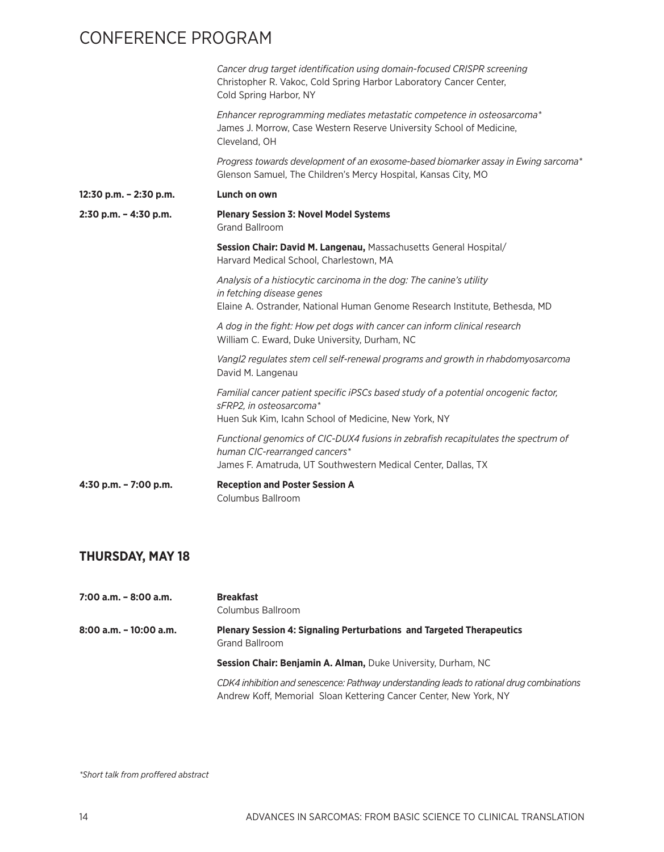|                           | Cancer drug target identification using domain-focused CRISPR screening<br>Christopher R. Vakoc, Cold Spring Harbor Laboratory Cancer Center,<br>Cold Spring Harbor, NY              |
|---------------------------|--------------------------------------------------------------------------------------------------------------------------------------------------------------------------------------|
|                           | Enhancer reprogramming mediates metastatic competence in osteosarcoma*<br>James J. Morrow, Case Western Reserve University School of Medicine,<br>Cleveland, OH                      |
|                           | Progress towards development of an exosome-based biomarker assay in Ewing sarcoma*<br>Glenson Samuel, The Children's Mercy Hospital, Kansas City, MO                                 |
| 12:30 p.m. - 2:30 p.m.    | Lunch on own                                                                                                                                                                         |
| $2:30$ p.m. $- 4:30$ p.m. | <b>Plenary Session 3: Novel Model Systems</b><br><b>Grand Ballroom</b>                                                                                                               |
|                           | Session Chair: David M. Langenau, Massachusetts General Hospital/<br>Harvard Medical School, Charlestown, MA                                                                         |
|                           | Analysis of a histiocytic carcinoma in the dog: The canine's utility<br>in fetching disease genes<br>Elaine A. Ostrander, National Human Genome Research Institute, Bethesda, MD     |
|                           | A dog in the fight: How pet dogs with cancer can inform clinical research<br>William C. Eward, Duke University, Durham, NC                                                           |
|                           | Vangl2 regulates stem cell self-renewal programs and growth in rhabdomyosarcoma<br>David M. Langenau                                                                                 |
|                           | Familial cancer patient specific iPSCs based study of a potential oncogenic factor,<br>sFRP2, in osteosarcoma*<br>Huen Suk Kim, Icahn School of Medicine, New York, NY               |
|                           | Functional genomics of CIC-DUX4 fusions in zebrafish recapitulates the spectrum of<br>human CIC-rearranged cancers*<br>James F. Amatruda, UT Southwestern Medical Center, Dallas, TX |
| 4:30 p.m. - 7:00 p.m.     | <b>Reception and Poster Session A</b><br>Columbus Ballroom                                                                                                                           |

#### **THURSDAY, MAY 18**

**7:00 a.m. – 8:00 a.m. Breakfast** Columbus Ballroom **8:00 a.m. – 10:00 a.m. Plenary Session 4: Signaling Perturbations and Targeted Therapeutics** Grand Ballroom **Session Chair: Benjamin A. Alman,** Duke University, Durham, NC *CDK4 inhibition and senescence: Pathway understanding leads to rational drug combinations* Andrew Koff, Memorial Sloan Kettering Cancer Center, New York, NY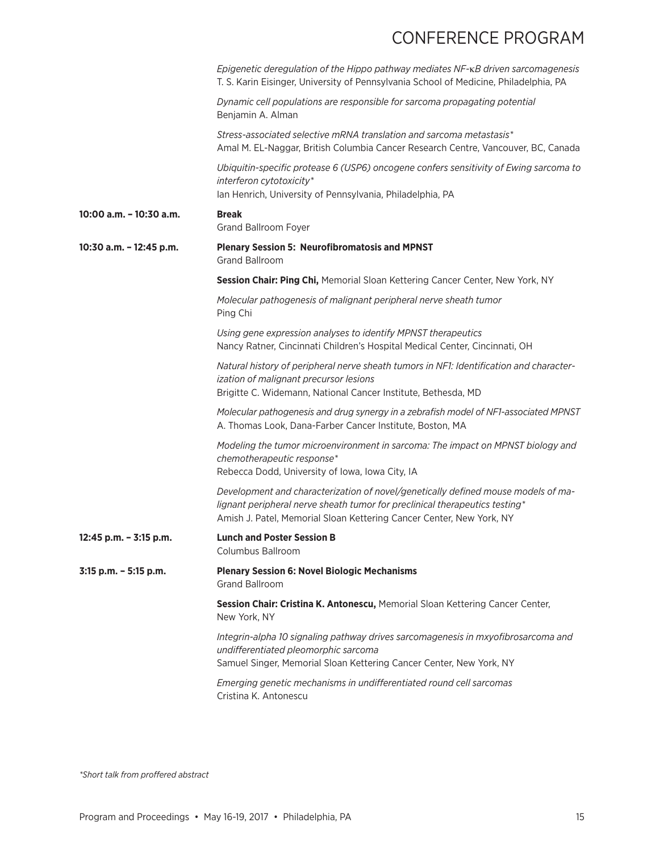|                         | Epigenetic deregulation of the Hippo pathway mediates NF-KB driven sarcomagenesis<br>T. S. Karin Eisinger, University of Pennsylvania School of Medicine, Philadelphia, PA                                                               |
|-------------------------|------------------------------------------------------------------------------------------------------------------------------------------------------------------------------------------------------------------------------------------|
|                         | Dynamic cell populations are responsible for sarcoma propagating potential<br>Benjamin A. Alman                                                                                                                                          |
|                         | Stress-associated selective mRNA translation and sarcoma metastasis*<br>Amal M. EL-Naggar, British Columbia Cancer Research Centre, Vancouver, BC, Canada                                                                                |
|                         | Ubiquitin-specific protease 6 (USP6) oncogene confers sensitivity of Ewing sarcoma to<br>interferon cytotoxicity*<br>Ian Henrich, University of Pennsylvania, Philadelphia, PA                                                           |
| 10:00 a.m. - 10:30 a.m. | <b>Break</b><br>Grand Ballroom Foyer                                                                                                                                                                                                     |
| 10:30 a.m. - 12:45 p.m. | <b>Plenary Session 5: Neurofibromatosis and MPNST</b><br><b>Grand Ballroom</b>                                                                                                                                                           |
|                         | Session Chair: Ping Chi, Memorial Sloan Kettering Cancer Center, New York, NY                                                                                                                                                            |
|                         | Molecular pathogenesis of malignant peripheral nerve sheath tumor<br>Ping Chi                                                                                                                                                            |
|                         | Using gene expression analyses to identify MPNST therapeutics<br>Nancy Ratner, Cincinnati Children's Hospital Medical Center, Cincinnati, OH                                                                                             |
|                         | Natural history of peripheral nerve sheath tumors in NF1: Identification and character-<br>ization of malignant precursor lesions<br>Brigitte C. Widemann, National Cancer Institute, Bethesda, MD                                       |
|                         | Molecular pathogenesis and drug synergy in a zebrafish model of NF1-associated MPNST<br>A. Thomas Look, Dana-Farber Cancer Institute, Boston, MA                                                                                         |
|                         | Modeling the tumor microenvironment in sarcoma: The impact on MPNST biology and<br>chemotherapeutic response*<br>Rebecca Dodd, University of Iowa, Iowa City, IA                                                                         |
|                         | Development and characterization of novel/genetically defined mouse models of ma-<br>lignant peripheral nerve sheath tumor for preclinical therapeutics testing*<br>Amish J. Patel, Memorial Sloan Kettering Cancer Center, New York, NY |
| 12:45 p.m. - 3:15 p.m.  | <b>Lunch and Poster Session B</b><br>Columbus Ballroom                                                                                                                                                                                   |
| 3:15 p.m. - 5:15 p.m.   | <b>Plenary Session 6: Novel Biologic Mechanisms</b><br><b>Grand Ballroom</b>                                                                                                                                                             |
|                         | Session Chair: Cristina K. Antonescu, Memorial Sloan Kettering Cancer Center,<br>New York, NY                                                                                                                                            |
|                         | Integrin-alpha 10 signaling pathway drives sarcomagenesis in mxyofibrosarcoma and<br>undifferentiated pleomorphic sarcoma<br>Samuel Singer, Memorial Sloan Kettering Cancer Center, New York, NY                                         |
|                         | Emerging genetic mechanisms in undifferentiated round cell sarcomas<br>Cristina K. Antonescu                                                                                                                                             |
|                         |                                                                                                                                                                                                                                          |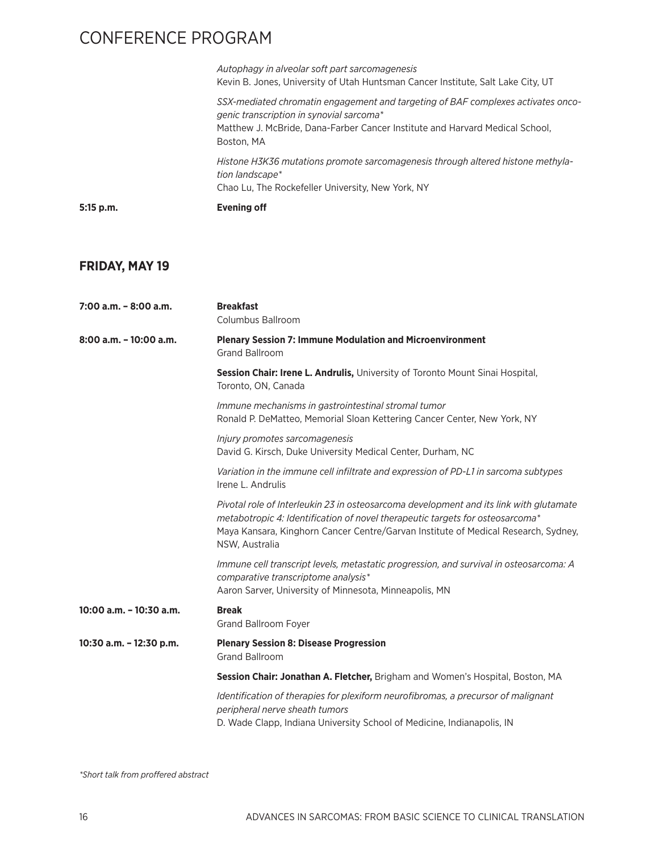| 5:15 p.m. | <b>Evening off</b>                                                                                                                                                                                                         |
|-----------|----------------------------------------------------------------------------------------------------------------------------------------------------------------------------------------------------------------------------|
|           | Histone H3K36 mutations promote sarcomagenesis through altered histone methyla-<br>tion landscape*<br>Chao Lu, The Rockefeller University, New York, NY                                                                    |
|           | SSX-mediated chromatin engagement and targeting of BAF complexes activates onco-<br>genic transcription in synovial sarcoma*<br>Matthew J. McBride, Dana-Farber Cancer Institute and Harvard Medical School,<br>Boston, MA |
|           | Autophagy in alveolar soft part sarcomagenesis<br>Kevin B. Jones, University of Utah Huntsman Cancer Institute, Salt Lake City, UT                                                                                         |

## **FRIDAY, MAY 19**

| $7:00$ a.m. $-8:00$ a.m.  | <b>Breakfast</b><br>Columbus Ballroom                                                                                                                                                                                                                                           |
|---------------------------|---------------------------------------------------------------------------------------------------------------------------------------------------------------------------------------------------------------------------------------------------------------------------------|
| $8:00$ a.m. $-10:00$ a.m. | <b>Plenary Session 7: Immune Modulation and Microenvironment</b><br><b>Grand Ballroom</b>                                                                                                                                                                                       |
|                           | Session Chair: Irene L. Andrulis, University of Toronto Mount Sinai Hospital,<br>Toronto, ON, Canada                                                                                                                                                                            |
|                           | Immune mechanisms in gastrointestinal stromal tumor<br>Ronald P. DeMatteo, Memorial Sloan Kettering Cancer Center, New York, NY                                                                                                                                                 |
|                           | Injury promotes sarcomagenesis<br>David G. Kirsch, Duke University Medical Center, Durham, NC                                                                                                                                                                                   |
|                           | Variation in the immune cell infiltrate and expression of PD-L1 in sarcoma subtypes<br>Irene L. Andrulis                                                                                                                                                                        |
|                           | Pivotal role of Interleukin 23 in osteosarcoma development and its link with glutamate<br>metabotropic 4: Identification of novel therapeutic targets for osteosarcoma*<br>Maya Kansara, Kinghorn Cancer Centre/Garvan Institute of Medical Research, Sydney,<br>NSW, Australia |
|                           | Immune cell transcript levels, metastatic progression, and survival in osteosarcoma: A<br>comparative transcriptome analysis*<br>Aaron Sarver, University of Minnesota, Minneapolis, MN                                                                                         |
| 10:00 a.m. - 10:30 a.m.   | <b>Break</b><br>Grand Ballroom Foyer                                                                                                                                                                                                                                            |
| 10:30 a.m. - 12:30 p.m.   | <b>Plenary Session 8: Disease Progression</b><br><b>Grand Ballroom</b>                                                                                                                                                                                                          |
|                           | Session Chair: Jonathan A. Fletcher, Brigham and Women's Hospital, Boston, MA                                                                                                                                                                                                   |
|                           | Identification of therapies for plexiform neurofibromas, a precursor of malignant<br>peripheral nerve sheath tumors<br>D. Wade Clapp, Indiana University School of Medicine, Indianapolis, IN                                                                                   |